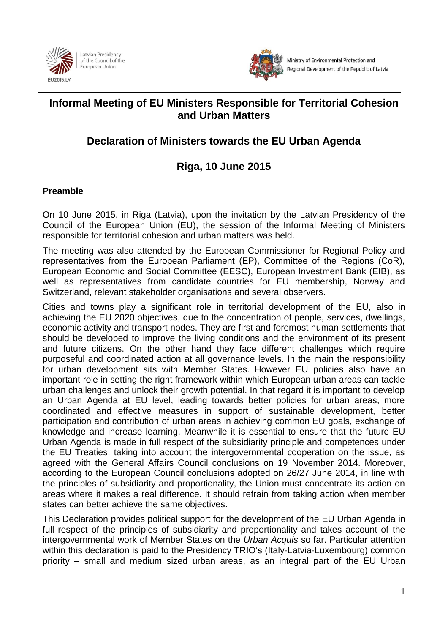



# **Informal Meeting of EU Ministers Responsible for Territorial Cohesion and Urban Matters**

# **Declaration of Ministers towards the EU Urban Agenda**

# **Riga, 10 June 2015**

# **Preamble**

On 10 June 2015, in Riga (Latvia), upon the invitation by the Latvian Presidency of the Council of the European Union (EU), the session of the Informal Meeting of Ministers responsible for territorial cohesion and urban matters was held.

The meeting was also attended by the European Commissioner for Regional Policy and representatives from the European Parliament (EP), Committee of the Regions (CoR), European Economic and Social Committee (EESC), European Investment Bank (EIB), as well as representatives from candidate countries for EU membership, Norway and Switzerland, relevant stakeholder organisations and several observers.

Cities and towns play a significant role in territorial development of the EU, also in achieving the EU 2020 objectives, due to the concentration of people, services, dwellings, economic activity and transport nodes. They are first and foremost human settlements that should be developed to improve the living conditions and the environment of its present and future citizens. On the other hand they face different challenges which require purposeful and coordinated action at all governance levels. In the main the responsibility for urban development sits with Member States. However EU policies also have an important role in setting the right framework within which European urban areas can tackle urban challenges and unlock their growth potential. In that regard it is important to develop an Urban Agenda at EU level, leading towards better policies for urban areas, more coordinated and effective measures in support of sustainable development, better participation and contribution of urban areas in achieving common EU goals, exchange of knowledge and increase learning. Meanwhile it is essential to ensure that the future EU Urban Agenda is made in full respect of the subsidiarity principle and competences under the EU Treaties, taking into account the intergovernmental cooperation on the issue, as agreed with the General Affairs Council conclusions on 19 November 2014. Moreover, according to the European Council conclusions adopted on 26/27 June 2014, in line with the principles of subsidiarity and proportionality, the Union must concentrate its action on areas where it makes a real difference. It should refrain from taking action when member states can better achieve the same objectives.

This Declaration provides political support for the development of the EU Urban Agenda in full respect of the principles of subsidiarity and proportionality and takes account of the intergovernmental work of Member States on the *Urban Acquis* so far. Particular attention within this declaration is paid to the Presidency TRIO's (Italy-Latvia-Luxembourg) common priority – small and medium sized urban areas, as an integral part of the EU Urban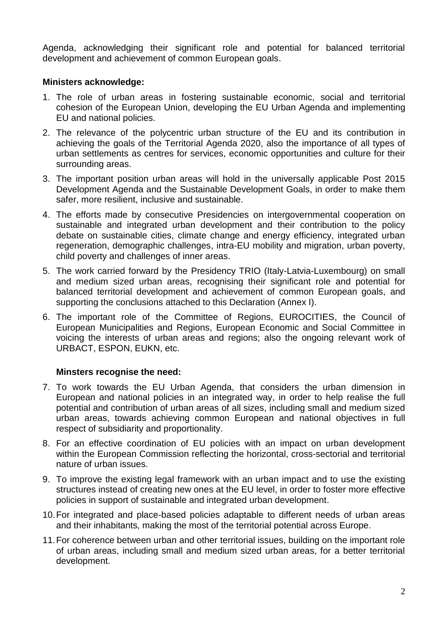Agenda, acknowledging their significant role and potential for balanced territorial development and achievement of common European goals.

#### **Ministers acknowledge:**

- 1. The role of urban areas in fostering sustainable economic, social and territorial cohesion of the European Union, developing the EU Urban Agenda and implementing EU and national policies.
- 2. The relevance of the polycentric urban structure of the EU and its contribution in achieving the goals of the Territorial Agenda 2020, also the importance of all types of urban settlements as centres for services, economic opportunities and culture for their surrounding areas.
- 3. The important position urban areas will hold in the universally applicable Post 2015 Development Agenda and the Sustainable Development Goals, in order to make them safer, more resilient, inclusive and sustainable.
- 4. The efforts made by consecutive Presidencies on intergovernmental cooperation on sustainable and integrated urban development and their contribution to the policy debate on sustainable cities, climate change and energy efficiency, integrated urban regeneration, demographic challenges, intra-EU mobility and migration, urban poverty, child poverty and challenges of inner areas.
- 5. The work carried forward by the Presidency TRIO (Italy-Latvia-Luxembourg) on small and medium sized urban areas, recognising their significant role and potential for balanced territorial development and achievement of common European goals, and supporting the conclusions attached to this Declaration (Annex I).
- 6. The important role of the Committee of Regions, EUROCITIES, the Council of European Municipalities and Regions, European Economic and Social Committee in voicing the interests of urban areas and regions; also the ongoing relevant work of URBACT, ESPON, EUKN, etc.

## **Minsters recognise the need:**

- 7. To work towards the EU Urban Agenda, that considers the urban dimension in European and national policies in an integrated way, in order to help realise the full potential and contribution of urban areas of all sizes, including small and medium sized urban areas, towards achieving common European and national objectives in full respect of subsidiarity and proportionality.
- 8. For an effective coordination of EU policies with an impact on urban development within the European Commission reflecting the horizontal, cross-sectorial and territorial nature of urban issues.
- 9. To improve the existing legal framework with an urban impact and to use the existing structures instead of creating new ones at the EU level, in order to foster more effective policies in support of sustainable and integrated urban development.
- 10.For integrated and place-based policies adaptable to different needs of urban areas and their inhabitants, making the most of the territorial potential across Europe.
- 11.For coherence between urban and other territorial issues, building on the important role of urban areas, including small and medium sized urban areas, for a better territorial development.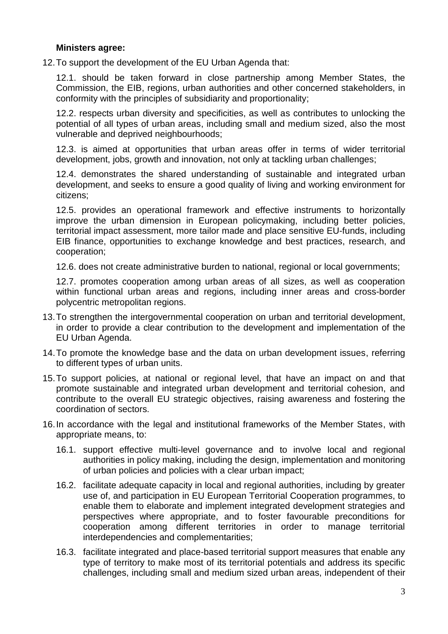#### **Ministers agree:**

12.To support the development of the EU Urban Agenda that:

12.1. should be taken forward in close partnership among Member States, the Commission, the EIB, regions, urban authorities and other concerned stakeholders, in conformity with the principles of subsidiarity and proportionality;

12.2. respects urban diversity and specificities, as well as contributes to unlocking the potential of all types of urban areas, including small and medium sized, also the most vulnerable and deprived neighbourhoods;

12.3. is aimed at opportunities that urban areas offer in terms of wider territorial development, jobs, growth and innovation, not only at tackling urban challenges;

12.4. demonstrates the shared understanding of sustainable and integrated urban development, and seeks to ensure a good quality of living and working environment for citizens;

12.5. provides an operational framework and effective instruments to horizontally improve the urban dimension in European policymaking, including better policies, territorial impact assessment, more tailor made and place sensitive EU-funds, including EIB finance, opportunities to exchange knowledge and best practices, research, and cooperation;

12.6. does not create administrative burden to national, regional or local governments;

12.7. promotes cooperation among urban areas of all sizes, as well as cooperation within functional urban areas and regions, including inner areas and cross-border polycentric metropolitan regions.

- 13.To strengthen the intergovernmental cooperation on urban and territorial development, in order to provide a clear contribution to the development and implementation of the EU Urban Agenda.
- 14.To promote the knowledge base and the data on urban development issues, referring to different types of urban units.
- 15.To support policies, at national or regional level, that have an impact on and that promote sustainable and integrated urban development and territorial cohesion, and contribute to the overall EU strategic objectives, raising awareness and fostering the coordination of sectors.
- 16.In accordance with the legal and institutional frameworks of the Member States, with appropriate means, to:
	- 16.1. support effective multi-level governance and to involve local and regional authorities in policy making, including the design, implementation and monitoring of urban policies and policies with a clear urban impact;
	- 16.2. facilitate adequate capacity in local and regional authorities, including by greater use of, and participation in EU European Territorial Cooperation programmes, to enable them to elaborate and implement integrated development strategies and perspectives where appropriate, and to foster favourable preconditions for cooperation among different territories in order to manage territorial interdependencies and complementarities;
	- 16.3. facilitate integrated and place-based territorial support measures that enable any type of territory to make most of its territorial potentials and address its specific challenges, including small and medium sized urban areas, independent of their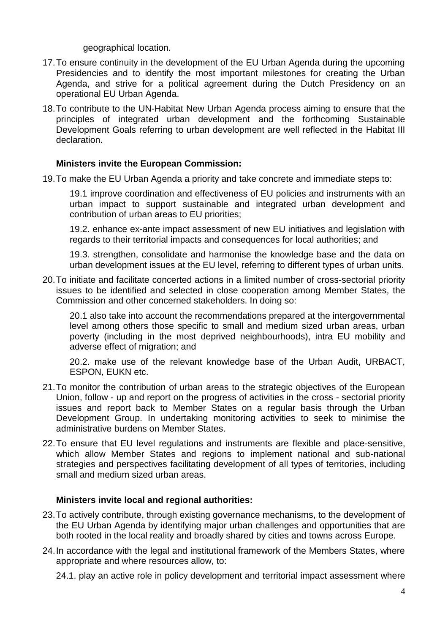geographical location.

- 17.To ensure continuity in the development of the EU Urban Agenda during the upcoming Presidencies and to identify the most important milestones for creating the Urban Agenda, and strive for a political agreement during the Dutch Presidency on an operational EU Urban Agenda.
- 18.To contribute to the UN-Habitat New Urban Agenda process aiming to ensure that the principles of integrated urban development and the forthcoming Sustainable Development Goals referring to urban development are well reflected in the Habitat III declaration.

#### **Ministers invite the European Commission:**

19.To make the EU Urban Agenda a priority and take concrete and immediate steps to:

19.1 improve coordination and effectiveness of EU policies and instruments with an urban impact to support sustainable and integrated urban development and contribution of urban areas to EU priorities;

19.2. enhance ex-ante impact assessment of new EU initiatives and legislation with regards to their territorial impacts and consequences for local authorities; and

19.3. strengthen, consolidate and harmonise the knowledge base and the data on urban development issues at the EU level, referring to different types of urban units.

20.To initiate and facilitate concerted actions in a limited number of cross-sectorial priority issues to be identified and selected in close cooperation among Member States, the Commission and other concerned stakeholders. In doing so:

20.1 also take into account the recommendations prepared at the intergovernmental level among others those specific to small and medium sized urban areas, urban poverty (including in the most deprived neighbourhoods), intra EU mobility and adverse effect of migration; and

20.2. make use of the relevant knowledge base of the Urban Audit, URBACT, ESPON, EUKN etc.

- 21.To monitor the contribution of urban areas to the strategic objectives of the European Union, follow - up and report on the progress of activities in the cross - sectorial priority issues and report back to Member States on a regular basis through the Urban Development Group. In undertaking monitoring activities to seek to minimise the administrative burdens on Member States.
- 22.To ensure that EU level regulations and instruments are flexible and place-sensitive, which allow Member States and regions to implement national and sub-national strategies and perspectives facilitating development of all types of territories, including small and medium sized urban areas.

#### **Ministers invite local and regional authorities:**

- 23.To actively contribute, through existing governance mechanisms, to the development of the EU Urban Agenda by identifying major urban challenges and opportunities that are both rooted in the local reality and broadly shared by cities and towns across Europe.
- 24.In accordance with the legal and institutional framework of the Members States, where appropriate and where resources allow, to:

24.1. play an active role in policy development and territorial impact assessment where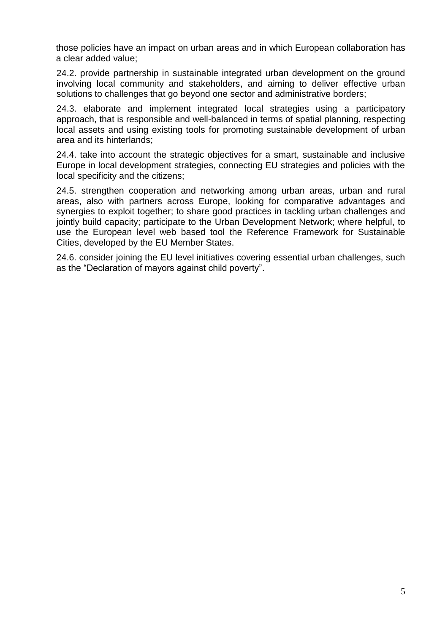those policies have an impact on urban areas and in which European collaboration has a clear added value;

24.2. provide partnership in sustainable integrated urban development on the ground involving local community and stakeholders, and aiming to deliver effective urban solutions to challenges that go beyond one sector and administrative borders;

24.3. elaborate and implement integrated local strategies using a participatory approach, that is responsible and well-balanced in terms of spatial planning, respecting local assets and using existing tools for promoting sustainable development of urban area and its hinterlands;

24.4. take into account the strategic objectives for a smart, sustainable and inclusive Europe in local development strategies, connecting EU strategies and policies with the local specificity and the citizens;

24.5. strengthen cooperation and networking among urban areas, urban and rural areas, also with partners across Europe, looking for comparative advantages and synergies to exploit together; to share good practices in tackling urban challenges and jointly build capacity; participate to the Urban Development Network; where helpful, to use the European level web based tool the Reference Framework for Sustainable Cities, developed by the EU Member States.

24.6. consider joining the EU level initiatives covering essential urban challenges, such as the "Declaration of mayors against child poverty".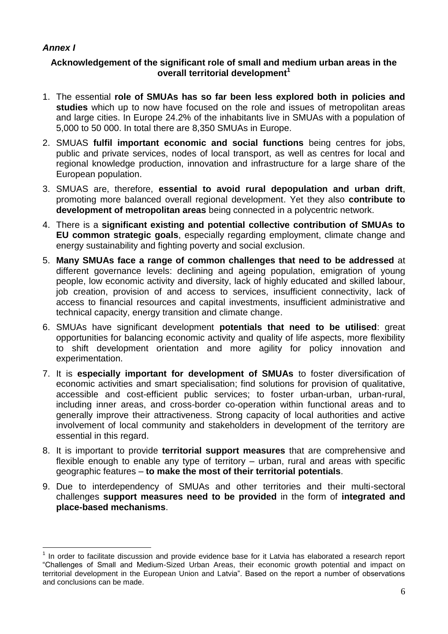## *Annex I*

1

#### **Acknowledgement of the significant role of small and medium urban areas in the overall territorial development<sup>1</sup>**

- 1. The essential **role of SMUAs has so far been less explored both in policies and studies** which up to now have focused on the role and issues of metropolitan areas and large cities. In Europe 24.2% of the inhabitants live in SMUAs with a population of 5,000 to 50 000. In total there are 8,350 SMUAs in Europe.
- 2. SMUAS **fulfil important economic and social functions** being centres for jobs, public and private services, nodes of local transport, as well as centres for local and regional knowledge production, innovation and infrastructure for a large share of the European population.
- 3. SMUAS are, therefore, **essential to avoid rural depopulation and urban drift**, promoting more balanced overall regional development. Yet they also **contribute to development of metropolitan areas** being connected in a polycentric network.
- 4. There is a **significant existing and potential collective contribution of SMUAs to EU common strategic goals**, especially regarding employment, climate change and energy sustainability and fighting poverty and social exclusion.
- 5. **Many SMUAs face a range of common challenges that need to be addressed** at different governance levels: declining and ageing population, emigration of young people, low economic activity and diversity, lack of highly educated and skilled labour, job creation, provision of and access to services, insufficient connectivity, lack of access to financial resources and capital investments, insufficient administrative and technical capacity, energy transition and climate change.
- 6. SMUAs have significant development **potentials that need to be utilised**: great opportunities for balancing economic activity and quality of life aspects, more flexibility to shift development orientation and more agility for policy innovation and experimentation.
- 7. It is **especially important for development of SMUAs** to foster diversification of economic activities and smart specialisation; find solutions for provision of qualitative, accessible and cost-efficient public services; to foster urban-urban, urban-rural, including inner areas, and cross-border co-operation within functional areas and to generally improve their attractiveness. Strong capacity of local authorities and active involvement of local community and stakeholders in development of the territory are essential in this regard.
- 8. It is important to provide **territorial support measures** that are comprehensive and flexible enough to enable any type of territory – urban, rural and areas with specific geographic features – **to make the most of their territorial potentials**.
- 9. Due to interdependency of SMUAs and other territories and their multi-sectoral challenges **support measures need to be provided** in the form of **integrated and place-based mechanisms**.

 $1$  In order to facilitate discussion and provide evidence base for it Latvia has elaborated a research report "Challenges of Small and Medium-Sized Urban Areas, their economic growth potential and impact on territorial development in the European Union and Latvia". Based on the report a number of observations and conclusions can be made.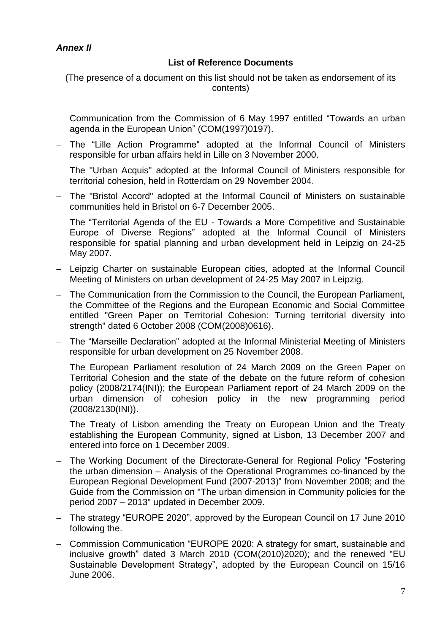# *Annex II*

## **List of Reference Documents**

(The presence of a document on this list should not be taken as endorsement of its contents)

- Communication from the Commission of 6 May 1997 entitled "Towards an urban agenda in the European Union" (COM(1997)0197).
- The "Lille Action Programme" adopted at the Informal Council of Ministers responsible for urban affairs held in Lille on 3 November 2000.
- The "Urban Acquis" adopted at the Informal Council of Ministers responsible for territorial cohesion, held in Rotterdam on 29 November 2004.
- The "Bristol Accord" adopted at the Informal Council of Ministers on sustainable communities held in Bristol on 6-7 December 2005.
- The "Territorial Agenda of the EU Towards a More Competitive and Sustainable Europe of Diverse Regions" adopted at the Informal Council of Ministers responsible for spatial planning and urban development held in Leipzig on 24-25 May 2007.
- Leipzig Charter on sustainable European cities, adopted at the Informal Council Meeting of Ministers on urban development of 24-25 May 2007 in Leipzig.
- The Communication from the Commission to the Council, the European Parliament, the Committee of the Regions and the European Economic and Social Committee entitled "Green Paper on Territorial Cohesion: Turning territorial diversity into strength" dated 6 October 2008 (COM(2008)0616).
- The "Marseille Declaration" adopted at the Informal Ministerial Meeting of Ministers responsible for urban development on 25 November 2008.
- The European Parliament resolution of 24 March 2009 on the Green Paper on Territorial Cohesion and the state of the debate on the future reform of cohesion policy (2008/2174(INI)); the European Parliament report of 24 March 2009 on the urban dimension of cohesion policy in the new programming period (2008/2130(INI)).
- The Treaty of Lisbon amending the Treaty on European Union and the Treaty establishing the European Community, signed at Lisbon, 13 December 2007 and entered into force on 1 December 2009.
- The Working Document of the Directorate-General for Regional Policy "Fostering the urban dimension – Analysis of the Operational Programmes co-financed by the European Regional Development Fund (2007-2013)" from November 2008; and the Guide from the Commission on "The urban dimension in Community policies for the period 2007 – 2013" updated in December 2009.
- The strategy "EUROPE 2020", approved by the European Council on 17 June 2010 following the.
- Commission Communication "EUROPE 2020: A strategy for smart, sustainable and inclusive growth" dated 3 March 2010 (COM(2010)2020); and the renewed "EU Sustainable Development Strategy", adopted by the European Council on 15/16 June 2006.